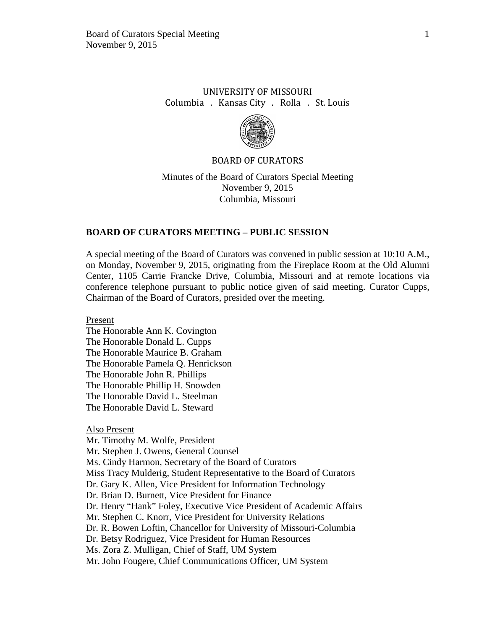# UNIVERSITY OF MISSOURI Columbia . Kansas City . Rolla . St. Louis



## BOARD OF CURATORS

Minutes of the Board of Curators Special Meeting November 9, 2015 Columbia, Missouri

# **BOARD OF CURATORS MEETING – PUBLIC SESSION**

A special meeting of the Board of Curators was convened in public session at 10:10 A.M., on Monday, November 9, 2015, originating from the Fireplace Room at the Old Alumni Center, 1105 Carrie Francke Drive, Columbia, Missouri and at remote locations via conference telephone pursuant to public notice given of said meeting. Curator Cupps, Chairman of the Board of Curators, presided over the meeting.

Present

The Honorable Ann K. Covington The Honorable Donald L. Cupps The Honorable Maurice B. Graham The Honorable Pamela Q. Henrickson The Honorable John R. Phillips The Honorable Phillip H. Snowden The Honorable David L. Steelman The Honorable David L. Steward

Also Present

Mr. Timothy M. Wolfe, President Mr. Stephen J. Owens, General Counsel Ms. Cindy Harmon, Secretary of the Board of Curators Miss Tracy Mulderig, Student Representative to the Board of Curators Dr. Gary K. Allen, Vice President for Information Technology Dr. Brian D. Burnett, Vice President for Finance Dr. Henry "Hank" Foley, Executive Vice President of Academic Affairs Mr. Stephen C. Knorr, Vice President for University Relations Dr. R. Bowen Loftin, Chancellor for University of Missouri-Columbia Dr. Betsy Rodriguez, Vice President for Human Resources Ms. Zora Z. Mulligan, Chief of Staff, UM System Mr. John Fougere, Chief Communications Officer, UM System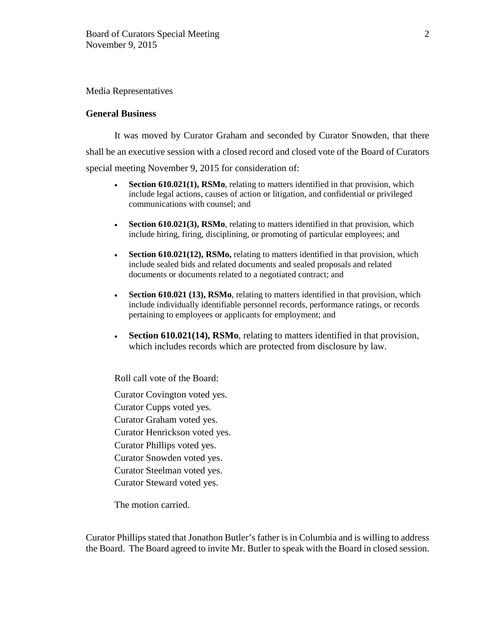#### Media Representatives

## **General Business**

It was moved by Curator Graham and seconded by Curator Snowden, that there shall be an executive session with a closed record and closed vote of the Board of Curators special meeting November 9, 2015 for consideration of:

- **Section 610.021(1), RSMo**, relating to matters identified in that provision, which include legal actions, causes of action or litigation, and confidential or privileged communications with counsel; and
- **Section 610.021(3), RSMo**, relating to matters identified in that provision, which include hiring, firing, disciplining, or promoting of particular employees; and
- **Section 610.021(12), RSMo,** relating to matters identified in that provision, which include sealed bids and related documents and sealed proposals and related documents or documents related to a negotiated contract; and
- **Section 610.021 (13), RSMo**, relating to matters identified in that provision, which include individually identifiable personnel records, performance ratings, or records pertaining to employees or applicants for employment; and
- **Section 610.021(14), RSMo**, relating to matters identified in that provision, which includes records which are protected from disclosure by law.

Roll call vote of the Board:

Curator Covington voted yes. Curator Cupps voted yes. Curator Graham voted yes. Curator Henrickson voted yes. Curator Phillips voted yes. Curator Snowden voted yes. Curator Steelman voted yes. Curator Steward voted yes.

The motion carried.

Curator Phillips stated that Jonathon Butler's father is in Columbia and is willing to address the Board. The Board agreed to invite Mr. Butler to speak with the Board in closed session.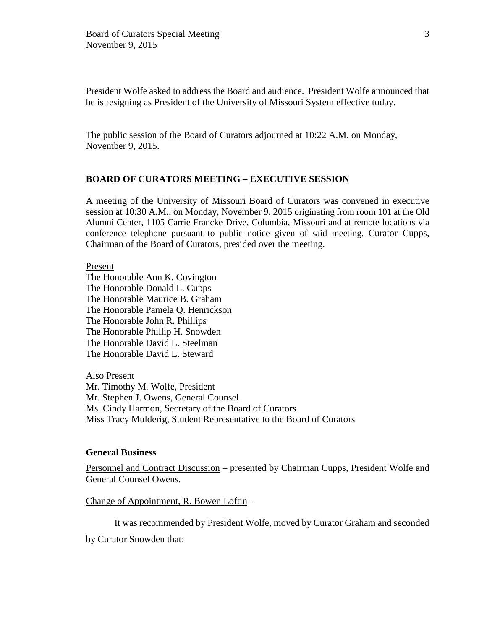President Wolfe asked to address the Board and audience. President Wolfe announced that he is resigning as President of the University of Missouri System effective today.

The public session of the Board of Curators adjourned at 10:22 A.M. on Monday, November 9, 2015.

# **BOARD OF CURATORS MEETING – EXECUTIVE SESSION**

A meeting of the University of Missouri Board of Curators was convened in executive session at 10:30 A.M., on Monday, November 9, 2015 originating from room 101 at the Old Alumni Center, 1105 Carrie Francke Drive, Columbia, Missouri and at remote locations via conference telephone pursuant to public notice given of said meeting. Curator Cupps, Chairman of the Board of Curators, presided over the meeting.

Present

The Honorable Ann K. Covington The Honorable Donald L. Cupps The Honorable Maurice B. Graham The Honorable Pamela Q. Henrickson The Honorable John R. Phillips The Honorable Phillip H. Snowden The Honorable David L. Steelman The Honorable David L. Steward

Also Present Mr. Timothy M. Wolfe, President Mr. Stephen J. Owens, General Counsel Ms. Cindy Harmon, Secretary of the Board of Curators Miss Tracy Mulderig, Student Representative to the Board of Curators

#### **General Business**

Personnel and Contract Discussion – presented by Chairman Cupps, President Wolfe and General Counsel Owens.

Change of Appointment, R. Bowen Loftin –

It was recommended by President Wolfe, moved by Curator Graham and seconded

by Curator Snowden that: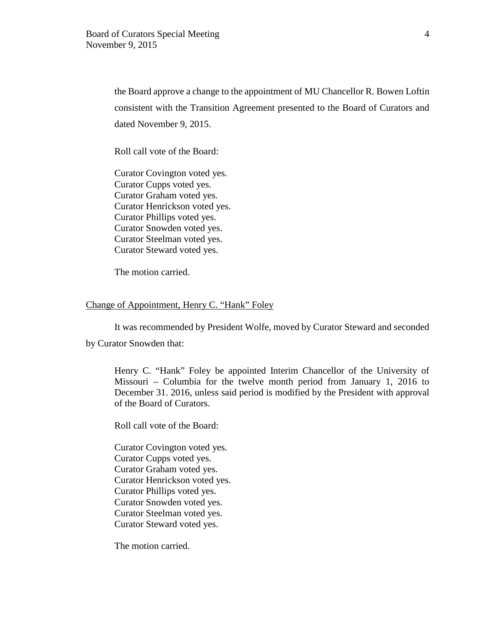the Board approve a change to the appointment of MU Chancellor R. Bowen Loftin consistent with the Transition Agreement presented to the Board of Curators and dated November 9, 2015.

Roll call vote of the Board:

Curator Covington voted yes. Curator Cupps voted yes. Curator Graham voted yes. Curator Henrickson voted yes. Curator Phillips voted yes. Curator Snowden voted yes. Curator Steelman voted yes. Curator Steward voted yes.

The motion carried.

#### Change of Appointment, Henry C. "Hank" Foley

It was recommended by President Wolfe, moved by Curator Steward and seconded

by Curator Snowden that:

Henry C. "Hank" Foley be appointed Interim Chancellor of the University of Missouri – Columbia for the twelve month period from January 1, 2016 to December 31. 2016, unless said period is modified by the President with approval of the Board of Curators.

Roll call vote of the Board:

Curator Covington voted yes. Curator Cupps voted yes. Curator Graham voted yes. Curator Henrickson voted yes. Curator Phillips voted yes. Curator Snowden voted yes. Curator Steelman voted yes. Curator Steward voted yes.

The motion carried.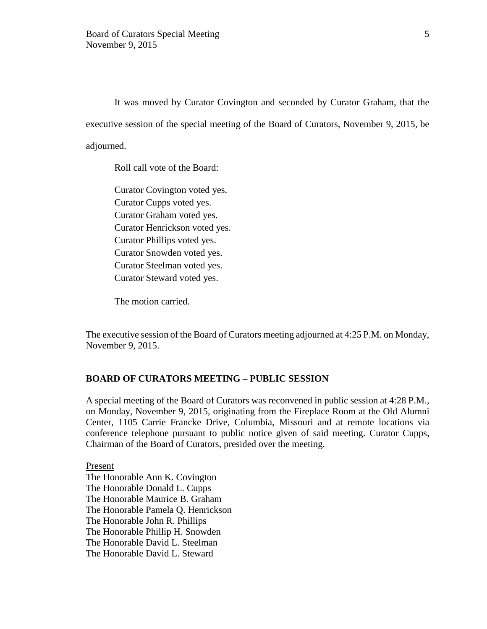It was moved by Curator Covington and seconded by Curator Graham, that the executive session of the special meeting of the Board of Curators, November 9, 2015, be adjourned.

Roll call vote of the Board:

Curator Covington voted yes. Curator Cupps voted yes. Curator Graham voted yes. Curator Henrickson voted yes. Curator Phillips voted yes. Curator Snowden voted yes. Curator Steelman voted yes. Curator Steward voted yes.

The motion carried.

The executive session of the Board of Curators meeting adjourned at 4:25 P.M. on Monday, November 9, 2015.

## **BOARD OF CURATORS MEETING – PUBLIC SESSION**

A special meeting of the Board of Curators was reconvened in public session at 4:28 P.M., on Monday, November 9, 2015, originating from the Fireplace Room at the Old Alumni Center, 1105 Carrie Francke Drive, Columbia, Missouri and at remote locations via conference telephone pursuant to public notice given of said meeting. Curator Cupps, Chairman of the Board of Curators, presided over the meeting.

Present The Honorable Ann K. Covington The Honorable Donald L. Cupps The Honorable Maurice B. Graham The Honorable Pamela Q. Henrickson The Honorable John R. Phillips The Honorable Phillip H. Snowden The Honorable David L. Steelman The Honorable David L. Steward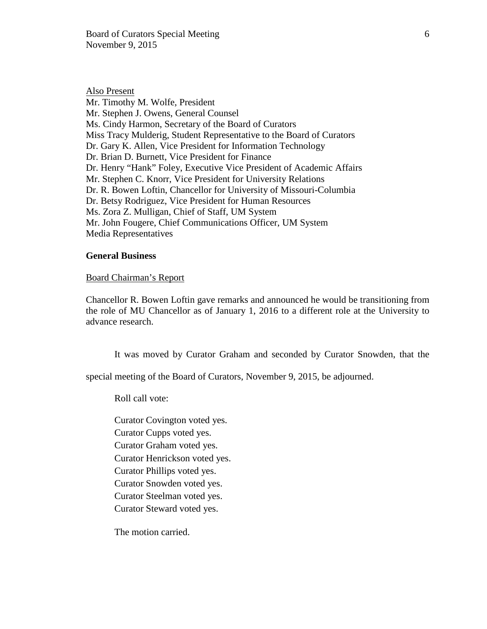Also Present Mr. Timothy M. Wolfe, President Mr. Stephen J. Owens, General Counsel Ms. Cindy Harmon, Secretary of the Board of Curators Miss Tracy Mulderig, Student Representative to the Board of Curators Dr. Gary K. Allen, Vice President for Information Technology Dr. Brian D. Burnett, Vice President for Finance Dr. Henry "Hank" Foley, Executive Vice President of Academic Affairs Mr. Stephen C. Knorr, Vice President for University Relations Dr. R. Bowen Loftin, Chancellor for University of Missouri-Columbia Dr. Betsy Rodriguez, Vice President for Human Resources Ms. Zora Z. Mulligan, Chief of Staff, UM System Mr. John Fougere, Chief Communications Officer, UM System Media Representatives

#### **General Business**

#### Board Chairman's Report

Chancellor R. Bowen Loftin gave remarks and announced he would be transitioning from the role of MU Chancellor as of January 1, 2016 to a different role at the University to advance research.

It was moved by Curator Graham and seconded by Curator Snowden, that the

special meeting of the Board of Curators, November 9, 2015, be adjourned.

Roll call vote:

Curator Covington voted yes. Curator Cupps voted yes. Curator Graham voted yes. Curator Henrickson voted yes. Curator Phillips voted yes. Curator Snowden voted yes. Curator Steelman voted yes. Curator Steward voted yes.

The motion carried.